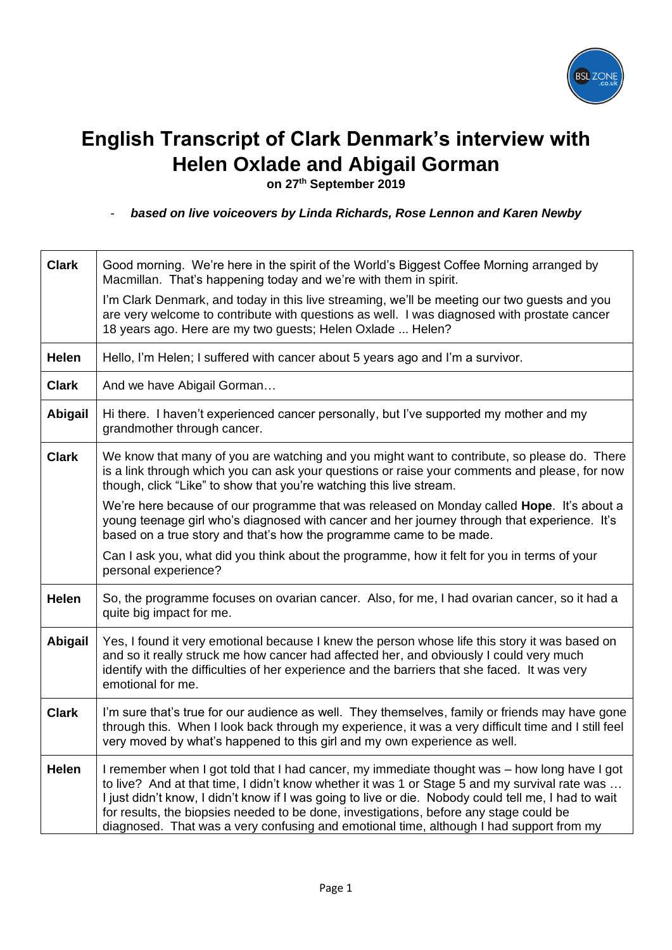

## **English Transcript of Clark Denmark's interview with Helen Oxlade and Abigail Gorman**

**on 27th September 2019**

- *based on live voiceovers by Linda Richards, Rose Lennon and Karen Newby*

| <b>Clark</b>   | Good morning. We're here in the spirit of the World's Biggest Coffee Morning arranged by<br>Macmillan. That's happening today and we're with them in spirit.                                                                                                                                                                                                                                                                                                                               |
|----------------|--------------------------------------------------------------------------------------------------------------------------------------------------------------------------------------------------------------------------------------------------------------------------------------------------------------------------------------------------------------------------------------------------------------------------------------------------------------------------------------------|
|                | I'm Clark Denmark, and today in this live streaming, we'll be meeting our two guests and you<br>are very welcome to contribute with questions as well. I was diagnosed with prostate cancer<br>18 years ago. Here are my two guests; Helen Oxlade  Helen?                                                                                                                                                                                                                                  |
| <b>Helen</b>   | Hello, I'm Helen; I suffered with cancer about 5 years ago and I'm a survivor.                                                                                                                                                                                                                                                                                                                                                                                                             |
| <b>Clark</b>   | And we have Abigail Gorman                                                                                                                                                                                                                                                                                                                                                                                                                                                                 |
| <b>Abigail</b> | Hi there. I haven't experienced cancer personally, but I've supported my mother and my<br>grandmother through cancer.                                                                                                                                                                                                                                                                                                                                                                      |
| <b>Clark</b>   | We know that many of you are watching and you might want to contribute, so please do. There<br>is a link through which you can ask your questions or raise your comments and please, for now<br>though, click "Like" to show that you're watching this live stream.                                                                                                                                                                                                                        |
|                | We're here because of our programme that was released on Monday called <b>Hope</b> . It's about a<br>young teenage girl who's diagnosed with cancer and her journey through that experience. It's<br>based on a true story and that's how the programme came to be made.                                                                                                                                                                                                                   |
|                | Can I ask you, what did you think about the programme, how it felt for you in terms of your<br>personal experience?                                                                                                                                                                                                                                                                                                                                                                        |
| <b>Helen</b>   | So, the programme focuses on ovarian cancer. Also, for me, I had ovarian cancer, so it had a<br>quite big impact for me.                                                                                                                                                                                                                                                                                                                                                                   |
| <b>Abigail</b> | Yes, I found it very emotional because I knew the person whose life this story it was based on<br>and so it really struck me how cancer had affected her, and obviously I could very much<br>identify with the difficulties of her experience and the barriers that she faced. It was very<br>emotional for me.                                                                                                                                                                            |
| <b>Clark</b>   | I'm sure that's true for our audience as well. They themselves, family or friends may have gone<br>through this. When I look back through my experience, it was a very difficult time and I still feel<br>very moved by what's happened to this girl and my own experience as well.                                                                                                                                                                                                        |
| <b>Helen</b>   | I remember when I got told that I had cancer, my immediate thought was - how long have I got<br>to live? And at that time, I didn't know whether it was 1 or Stage 5 and my survival rate was<br>I just didn't know, I didn't know if I was going to live or die. Nobody could tell me, I had to wait<br>for results, the biopsies needed to be done, investigations, before any stage could be<br>diagnosed. That was a very confusing and emotional time, although I had support from my |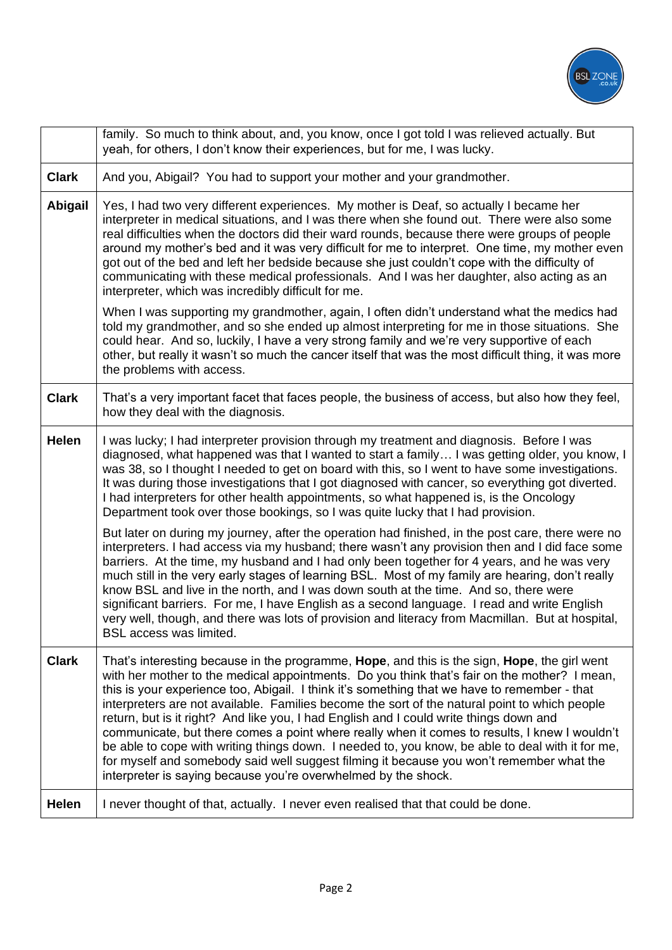

|              | family. So much to think about, and, you know, once I got told I was relieved actually. But<br>yeah, for others, I don't know their experiences, but for me, I was lucky.                                                                                                                                                                                                                                                                                                                                                                                                                                                                                                                                                                                                                                                                                  |
|--------------|------------------------------------------------------------------------------------------------------------------------------------------------------------------------------------------------------------------------------------------------------------------------------------------------------------------------------------------------------------------------------------------------------------------------------------------------------------------------------------------------------------------------------------------------------------------------------------------------------------------------------------------------------------------------------------------------------------------------------------------------------------------------------------------------------------------------------------------------------------|
| <b>Clark</b> | And you, Abigail? You had to support your mother and your grandmother.                                                                                                                                                                                                                                                                                                                                                                                                                                                                                                                                                                                                                                                                                                                                                                                     |
| Abigail      | Yes, I had two very different experiences. My mother is Deaf, so actually I became her<br>interpreter in medical situations, and I was there when she found out. There were also some<br>real difficulties when the doctors did their ward rounds, because there were groups of people<br>around my mother's bed and it was very difficult for me to interpret. One time, my mother even<br>got out of the bed and left her bedside because she just couldn't cope with the difficulty of<br>communicating with these medical professionals. And I was her daughter, also acting as an<br>interpreter, which was incredibly difficult for me.                                                                                                                                                                                                              |
|              | When I was supporting my grandmother, again, I often didn't understand what the medics had<br>told my grandmother, and so she ended up almost interpreting for me in those situations. She<br>could hear. And so, luckily, I have a very strong family and we're very supportive of each<br>other, but really it wasn't so much the cancer itself that was the most difficult thing, it was more<br>the problems with access.                                                                                                                                                                                                                                                                                                                                                                                                                              |
| <b>Clark</b> | That's a very important facet that faces people, the business of access, but also how they feel,<br>how they deal with the diagnosis.                                                                                                                                                                                                                                                                                                                                                                                                                                                                                                                                                                                                                                                                                                                      |
| Helen        | I was lucky; I had interpreter provision through my treatment and diagnosis. Before I was<br>diagnosed, what happened was that I wanted to start a family I was getting older, you know, I<br>was 38, so I thought I needed to get on board with this, so I went to have some investigations.<br>It was during those investigations that I got diagnosed with cancer, so everything got diverted.<br>I had interpreters for other health appointments, so what happened is, is the Oncology<br>Department took over those bookings, so I was quite lucky that I had provision.                                                                                                                                                                                                                                                                             |
|              | But later on during my journey, after the operation had finished, in the post care, there were no<br>interpreters. I had access via my husband; there wasn't any provision then and I did face some<br>barriers. At the time, my husband and I had only been together for 4 years, and he was very<br>much still in the very early stages of learning BSL. Most of my family are hearing, don't really<br>know BSL and live in the north, and I was down south at the time. And so, there were<br>significant barriers. For me, I have English as a second language. I read and write English<br>very well, though, and there was lots of provision and literacy from Macmillan. But at hospital,<br>BSL access was limited.                                                                                                                               |
| <b>Clark</b> | That's interesting because in the programme, Hope, and this is the sign, Hope, the girl went<br>with her mother to the medical appointments. Do you think that's fair on the mother? I mean,<br>this is your experience too, Abigail. I think it's something that we have to remember - that<br>interpreters are not available. Families become the sort of the natural point to which people<br>return, but is it right? And like you, I had English and I could write things down and<br>communicate, but there comes a point where really when it comes to results, I knew I wouldn't<br>be able to cope with writing things down. I needed to, you know, be able to deal with it for me,<br>for myself and somebody said well suggest filming it because you won't remember what the<br>interpreter is saying because you're overwhelmed by the shock. |
| Helen        | I never thought of that, actually. I never even realised that that could be done.                                                                                                                                                                                                                                                                                                                                                                                                                                                                                                                                                                                                                                                                                                                                                                          |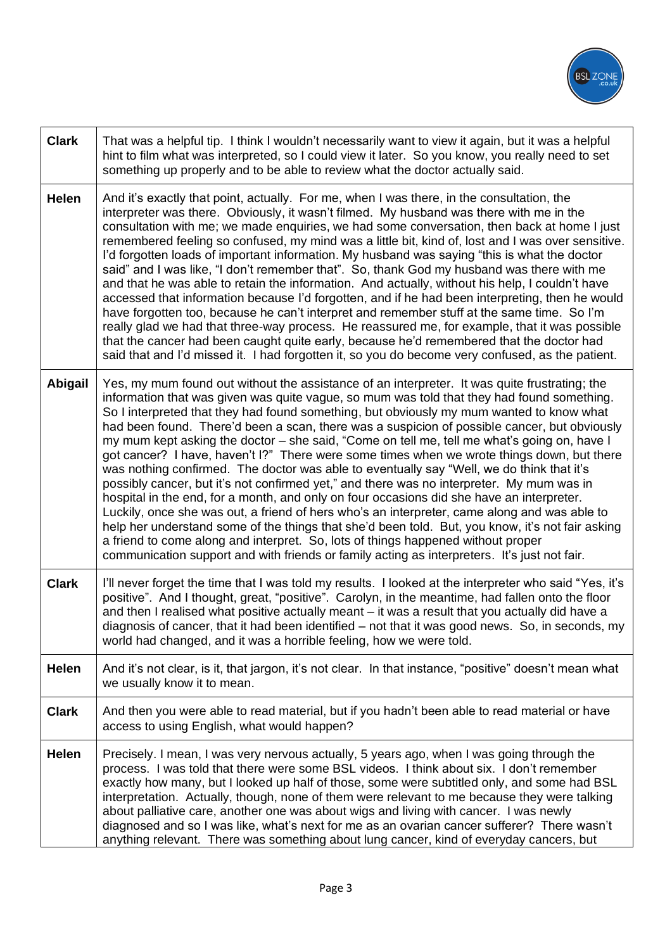

| <b>Clark</b> | That was a helpful tip. I think I wouldn't necessarily want to view it again, but it was a helpful<br>hint to film what was interpreted, so I could view it later. So you know, you really need to set<br>something up properly and to be able to review what the doctor actually said.                                                                                                                                                                                                                                                                                                                                                                                                                                                                                                                                                                                                                                                                                                                                                                                                                                                                                                                                                                             |
|--------------|---------------------------------------------------------------------------------------------------------------------------------------------------------------------------------------------------------------------------------------------------------------------------------------------------------------------------------------------------------------------------------------------------------------------------------------------------------------------------------------------------------------------------------------------------------------------------------------------------------------------------------------------------------------------------------------------------------------------------------------------------------------------------------------------------------------------------------------------------------------------------------------------------------------------------------------------------------------------------------------------------------------------------------------------------------------------------------------------------------------------------------------------------------------------------------------------------------------------------------------------------------------------|
| <b>Helen</b> | And it's exactly that point, actually. For me, when I was there, in the consultation, the<br>interpreter was there. Obviously, it wasn't filmed. My husband was there with me in the<br>consultation with me; we made enquiries, we had some conversation, then back at home I just<br>remembered feeling so confused, my mind was a little bit, kind of, lost and I was over sensitive.<br>I'd forgotten loads of important information. My husband was saying "this is what the doctor<br>said" and I was like, "I don't remember that". So, thank God my husband was there with me<br>and that he was able to retain the information. And actually, without his help, I couldn't have<br>accessed that information because I'd forgotten, and if he had been interpreting, then he would<br>have forgotten too, because he can't interpret and remember stuff at the same time. So I'm<br>really glad we had that three-way process. He reassured me, for example, that it was possible<br>that the cancer had been caught quite early, because he'd remembered that the doctor had<br>said that and I'd missed it. I had forgotten it, so you do become very confused, as the patient.                                                                          |
| Abigail      | Yes, my mum found out without the assistance of an interpreter. It was quite frustrating; the<br>information that was given was quite vague, so mum was told that they had found something.<br>So I interpreted that they had found something, but obviously my mum wanted to know what<br>had been found. There'd been a scan, there was a suspicion of possible cancer, but obviously<br>my mum kept asking the doctor – she said, "Come on tell me, tell me what's going on, have I<br>got cancer? I have, haven't I?" There were some times when we wrote things down, but there<br>was nothing confirmed. The doctor was able to eventually say "Well, we do think that it's<br>possibly cancer, but it's not confirmed yet," and there was no interpreter. My mum was in<br>hospital in the end, for a month, and only on four occasions did she have an interpreter.<br>Luckily, once she was out, a friend of hers who's an interpreter, came along and was able to<br>help her understand some of the things that she'd been told. But, you know, it's not fair asking<br>a friend to come along and interpret. So, lots of things happened without proper<br>communication support and with friends or family acting as interpreters. It's just not fair. |
| <b>Clark</b> | I'll never forget the time that I was told my results. I looked at the interpreter who said "Yes, it's<br>positive". And I thought, great, "positive". Carolyn, in the meantime, had fallen onto the floor<br>and then I realised what positive actually meant - it was a result that you actually did have a<br>diagnosis of cancer, that it had been identified - not that it was good news. So, in seconds, my<br>world had changed, and it was a horrible feeling, how we were told.                                                                                                                                                                                                                                                                                                                                                                                                                                                                                                                                                                                                                                                                                                                                                                            |
| <b>Helen</b> | And it's not clear, is it, that jargon, it's not clear. In that instance, "positive" doesn't mean what<br>we usually know it to mean.                                                                                                                                                                                                                                                                                                                                                                                                                                                                                                                                                                                                                                                                                                                                                                                                                                                                                                                                                                                                                                                                                                                               |
| <b>Clark</b> | And then you were able to read material, but if you hadn't been able to read material or have<br>access to using English, what would happen?                                                                                                                                                                                                                                                                                                                                                                                                                                                                                                                                                                                                                                                                                                                                                                                                                                                                                                                                                                                                                                                                                                                        |
| Helen        | Precisely. I mean, I was very nervous actually, 5 years ago, when I was going through the<br>process. I was told that there were some BSL videos. I think about six. I don't remember<br>exactly how many, but I looked up half of those, some were subtitled only, and some had BSL<br>interpretation. Actually, though, none of them were relevant to me because they were talking<br>about palliative care, another one was about wigs and living with cancer. I was newly<br>diagnosed and so I was like, what's next for me as an ovarian cancer sufferer? There wasn't<br>anything relevant. There was something about lung cancer, kind of everyday cancers, but                                                                                                                                                                                                                                                                                                                                                                                                                                                                                                                                                                                             |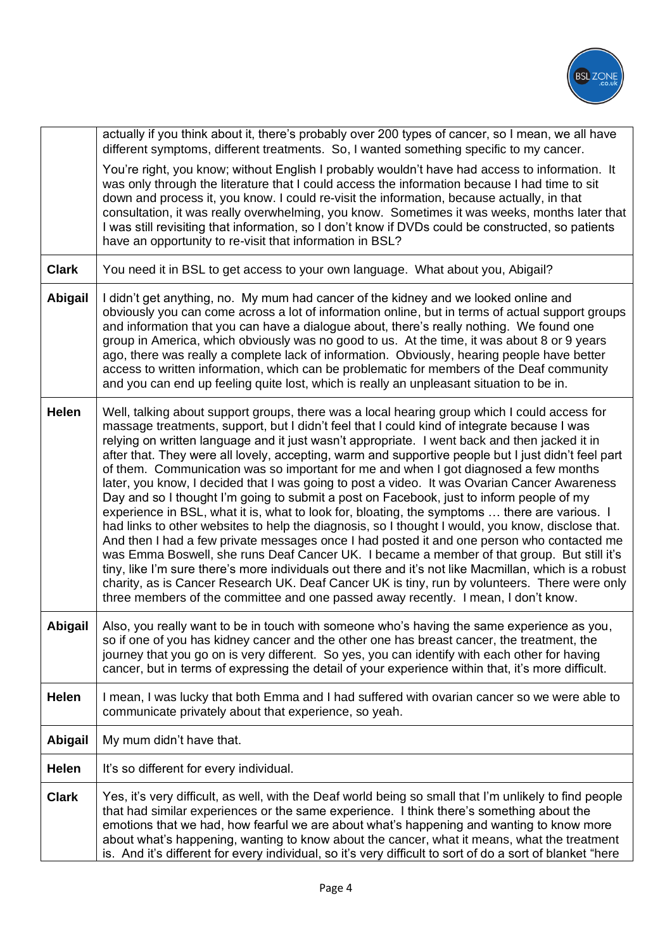

|                | actually if you think about it, there's probably over 200 types of cancer, so I mean, we all have<br>different symptoms, different treatments. So, I wanted something specific to my cancer.                                                                                                                                                                                                                                                                                                                                                                                                                                                                                                                                                                                                                                                                                                                                                                                                                                                                                                                                                                                                                                                                                                                                                                                              |
|----------------|-------------------------------------------------------------------------------------------------------------------------------------------------------------------------------------------------------------------------------------------------------------------------------------------------------------------------------------------------------------------------------------------------------------------------------------------------------------------------------------------------------------------------------------------------------------------------------------------------------------------------------------------------------------------------------------------------------------------------------------------------------------------------------------------------------------------------------------------------------------------------------------------------------------------------------------------------------------------------------------------------------------------------------------------------------------------------------------------------------------------------------------------------------------------------------------------------------------------------------------------------------------------------------------------------------------------------------------------------------------------------------------------|
|                | You're right, you know; without English I probably wouldn't have had access to information. It<br>was only through the literature that I could access the information because I had time to sit<br>down and process it, you know. I could re-visit the information, because actually, in that<br>consultation, it was really overwhelming, you know. Sometimes it was weeks, months later that<br>I was still revisiting that information, so I don't know if DVDs could be constructed, so patients<br>have an opportunity to re-visit that information in BSL?                                                                                                                                                                                                                                                                                                                                                                                                                                                                                                                                                                                                                                                                                                                                                                                                                          |
| <b>Clark</b>   | You need it in BSL to get access to your own language. What about you, Abigail?                                                                                                                                                                                                                                                                                                                                                                                                                                                                                                                                                                                                                                                                                                                                                                                                                                                                                                                                                                                                                                                                                                                                                                                                                                                                                                           |
| <b>Abigail</b> | I didn't get anything, no. My mum had cancer of the kidney and we looked online and<br>obviously you can come across a lot of information online, but in terms of actual support groups<br>and information that you can have a dialogue about, there's really nothing. We found one<br>group in America, which obviously was no good to us. At the time, it was about 8 or 9 years<br>ago, there was really a complete lack of information. Obviously, hearing people have better<br>access to written information, which can be problematic for members of the Deaf community<br>and you can end up feeling quite lost, which is really an unpleasant situation to be in.                                                                                                                                                                                                                                                                                                                                                                                                                                                                                                                                                                                                                                                                                                                |
| <b>Helen</b>   | Well, talking about support groups, there was a local hearing group which I could access for<br>massage treatments, support, but I didn't feel that I could kind of integrate because I was<br>relying on written language and it just wasn't appropriate. I went back and then jacked it in<br>after that. They were all lovely, accepting, warm and supportive people but I just didn't feel part<br>of them. Communication was so important for me and when I got diagnosed a few months<br>later, you know, I decided that I was going to post a video. It was Ovarian Cancer Awareness<br>Day and so I thought I'm going to submit a post on Facebook, just to inform people of my<br>experience in BSL, what it is, what to look for, bloating, the symptoms  there are various. I<br>had links to other websites to help the diagnosis, so I thought I would, you know, disclose that.<br>And then I had a few private messages once I had posted it and one person who contacted me<br>was Emma Boswell, she runs Deaf Cancer UK. I became a member of that group. But still it's<br>tiny, like I'm sure there's more individuals out there and it's not like Macmillan, which is a robust<br>charity, as is Cancer Research UK. Deaf Cancer UK is tiny, run by volunteers. There were only<br>three members of the committee and one passed away recently. I mean, I don't know. |
|                | <b>Abigail</b>   Also, you really want to be in touch with someone who's having the same experience as you,<br>so if one of you has kidney cancer and the other one has breast cancer, the treatment, the<br>journey that you go on is very different. So yes, you can identify with each other for having<br>cancer, but in terms of expressing the detail of your experience within that, it's more difficult.                                                                                                                                                                                                                                                                                                                                                                                                                                                                                                                                                                                                                                                                                                                                                                                                                                                                                                                                                                          |
| Helen          | I mean, I was lucky that both Emma and I had suffered with ovarian cancer so we were able to<br>communicate privately about that experience, so yeah.                                                                                                                                                                                                                                                                                                                                                                                                                                                                                                                                                                                                                                                                                                                                                                                                                                                                                                                                                                                                                                                                                                                                                                                                                                     |
| Abigail        | My mum didn't have that.                                                                                                                                                                                                                                                                                                                                                                                                                                                                                                                                                                                                                                                                                                                                                                                                                                                                                                                                                                                                                                                                                                                                                                                                                                                                                                                                                                  |
| Helen          | It's so different for every individual.                                                                                                                                                                                                                                                                                                                                                                                                                                                                                                                                                                                                                                                                                                                                                                                                                                                                                                                                                                                                                                                                                                                                                                                                                                                                                                                                                   |
| <b>Clark</b>   | Yes, it's very difficult, as well, with the Deaf world being so small that I'm unlikely to find people<br>that had similar experiences or the same experience. I think there's something about the<br>emotions that we had, how fearful we are about what's happening and wanting to know more<br>about what's happening, wanting to know about the cancer, what it means, what the treatment<br>is. And it's different for every individual, so it's very difficult to sort of do a sort of blanket "here                                                                                                                                                                                                                                                                                                                                                                                                                                                                                                                                                                                                                                                                                                                                                                                                                                                                                |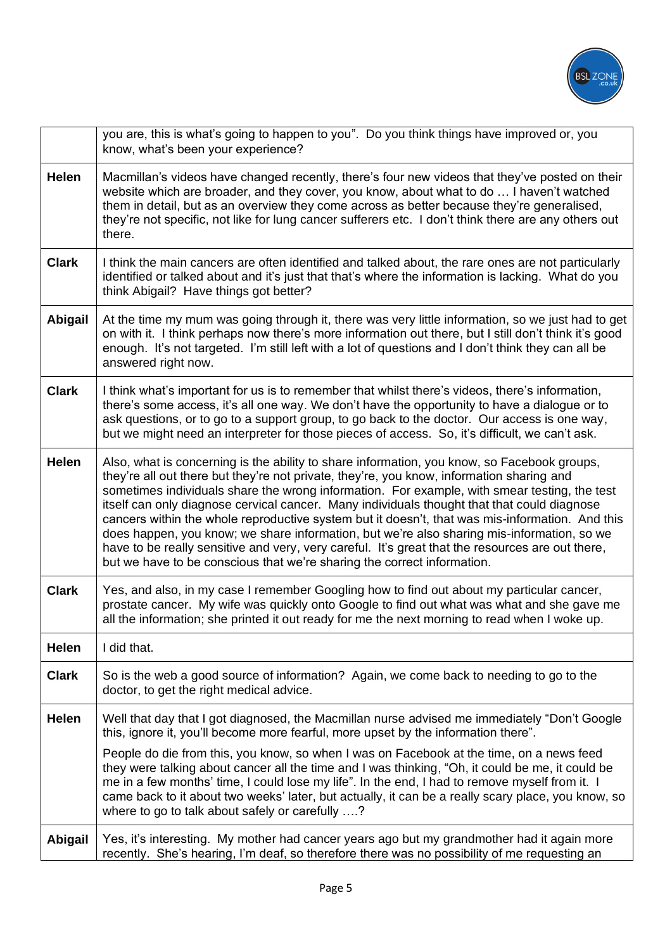

|                | you are, this is what's going to happen to you". Do you think things have improved or, you<br>know, what's been your experience?                                                                                                                                                                                                                                                                                                                                                                                                                                                                                                                                                                                                                                        |
|----------------|-------------------------------------------------------------------------------------------------------------------------------------------------------------------------------------------------------------------------------------------------------------------------------------------------------------------------------------------------------------------------------------------------------------------------------------------------------------------------------------------------------------------------------------------------------------------------------------------------------------------------------------------------------------------------------------------------------------------------------------------------------------------------|
| <b>Helen</b>   | Macmillan's videos have changed recently, there's four new videos that they've posted on their<br>website which are broader, and they cover, you know, about what to do  I haven't watched<br>them in detail, but as an overview they come across as better because they're generalised,<br>they're not specific, not like for lung cancer sufferers etc. I don't think there are any others out<br>there.                                                                                                                                                                                                                                                                                                                                                              |
| <b>Clark</b>   | I think the main cancers are often identified and talked about, the rare ones are not particularly<br>identified or talked about and it's just that that's where the information is lacking. What do you<br>think Abigail? Have things got better?                                                                                                                                                                                                                                                                                                                                                                                                                                                                                                                      |
| <b>Abigail</b> | At the time my mum was going through it, there was very little information, so we just had to get<br>on with it. I think perhaps now there's more information out there, but I still don't think it's good<br>enough. It's not targeted. I'm still left with a lot of questions and I don't think they can all be<br>answered right now.                                                                                                                                                                                                                                                                                                                                                                                                                                |
| <b>Clark</b>   | I think what's important for us is to remember that whilst there's videos, there's information,<br>there's some access, it's all one way. We don't have the opportunity to have a dialogue or to<br>ask questions, or to go to a support group, to go back to the doctor. Our access is one way,<br>but we might need an interpreter for those pieces of access. So, it's difficult, we can't ask.                                                                                                                                                                                                                                                                                                                                                                      |
| <b>Helen</b>   | Also, what is concerning is the ability to share information, you know, so Facebook groups,<br>they're all out there but they're not private, they're, you know, information sharing and<br>sometimes individuals share the wrong information. For example, with smear testing, the test<br>itself can only diagnose cervical cancer. Many individuals thought that that could diagnose<br>cancers within the whole reproductive system but it doesn't, that was mis-information. And this<br>does happen, you know; we share information, but we're also sharing mis-information, so we<br>have to be really sensitive and very, very careful. It's great that the resources are out there,<br>but we have to be conscious that we're sharing the correct information. |
| <b>Clark</b>   | Yes, and also, in my case I remember Googling how to find out about my particular cancer,<br>prostate cancer. My wife was quickly onto Google to find out what was what and she gave me<br>all the information; she printed it out ready for me the next morning to read when I woke up.                                                                                                                                                                                                                                                                                                                                                                                                                                                                                |
| <b>Helen</b>   | I did that.                                                                                                                                                                                                                                                                                                                                                                                                                                                                                                                                                                                                                                                                                                                                                             |
| <b>Clark</b>   | So is the web a good source of information? Again, we come back to needing to go to the<br>doctor, to get the right medical advice.                                                                                                                                                                                                                                                                                                                                                                                                                                                                                                                                                                                                                                     |
| <b>Helen</b>   | Well that day that I got diagnosed, the Macmillan nurse advised me immediately "Don't Google<br>this, ignore it, you'll become more fearful, more upset by the information there".                                                                                                                                                                                                                                                                                                                                                                                                                                                                                                                                                                                      |
|                | People do die from this, you know, so when I was on Facebook at the time, on a news feed<br>they were talking about cancer all the time and I was thinking, "Oh, it could be me, it could be<br>me in a few months' time, I could lose my life". In the end, I had to remove myself from it. I<br>came back to it about two weeks' later, but actually, it can be a really scary place, you know, so<br>where to go to talk about safely or carefully ?                                                                                                                                                                                                                                                                                                                 |
| Abigail        | Yes, it's interesting. My mother had cancer years ago but my grandmother had it again more<br>recently. She's hearing, I'm deaf, so therefore there was no possibility of me requesting an                                                                                                                                                                                                                                                                                                                                                                                                                                                                                                                                                                              |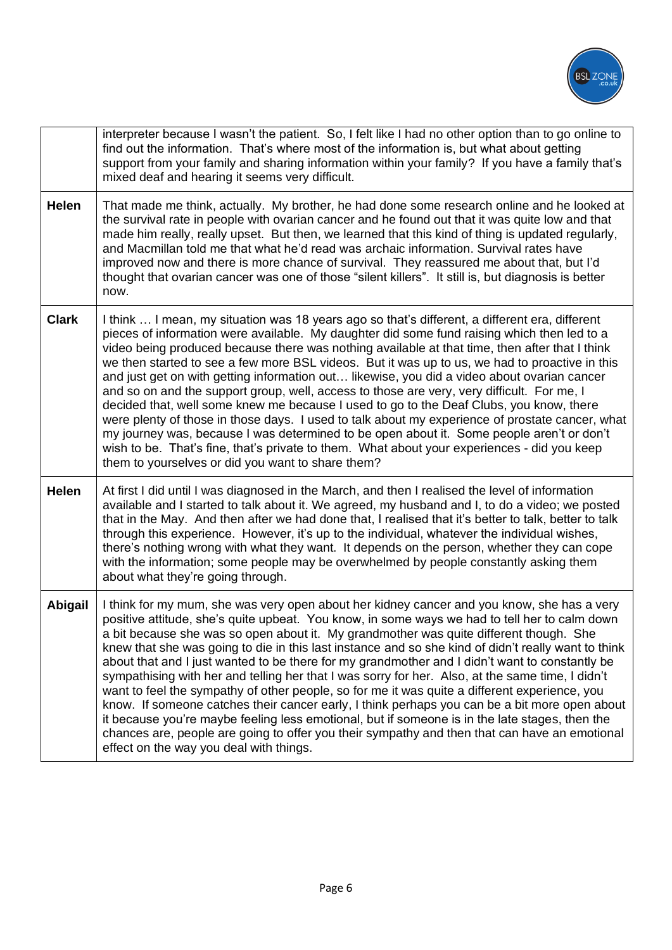

|              | interpreter because I wasn't the patient. So, I felt like I had no other option than to go online to<br>find out the information. That's where most of the information is, but what about getting<br>support from your family and sharing information within your family? If you have a family that's<br>mixed deaf and hearing it seems very difficult.                                                                                                                                                                                                                                                                                                                                                                                                                                                                                                                                                                                                                                                                                           |
|--------------|----------------------------------------------------------------------------------------------------------------------------------------------------------------------------------------------------------------------------------------------------------------------------------------------------------------------------------------------------------------------------------------------------------------------------------------------------------------------------------------------------------------------------------------------------------------------------------------------------------------------------------------------------------------------------------------------------------------------------------------------------------------------------------------------------------------------------------------------------------------------------------------------------------------------------------------------------------------------------------------------------------------------------------------------------|
| <b>Helen</b> | That made me think, actually. My brother, he had done some research online and he looked at<br>the survival rate in people with ovarian cancer and he found out that it was quite low and that<br>made him really, really upset. But then, we learned that this kind of thing is updated regularly,<br>and Macmillan told me that what he'd read was archaic information. Survival rates have<br>improved now and there is more chance of survival. They reassured me about that, but I'd<br>thought that ovarian cancer was one of those "silent killers". It still is, but diagnosis is better<br>now.                                                                                                                                                                                                                                                                                                                                                                                                                                           |
| <b>Clark</b> | I think  I mean, my situation was 18 years ago so that's different, a different era, different<br>pieces of information were available. My daughter did some fund raising which then led to a<br>video being produced because there was nothing available at that time, then after that I think<br>we then started to see a few more BSL videos. But it was up to us, we had to proactive in this<br>and just get on with getting information out likewise, you did a video about ovarian cancer<br>and so on and the support group, well, access to those are very, very difficult. For me, I<br>decided that, well some knew me because I used to go to the Deaf Clubs, you know, there<br>were plenty of those in those days. I used to talk about my experience of prostate cancer, what<br>my journey was, because I was determined to be open about it. Some people aren't or don't<br>wish to be. That's fine, that's private to them. What about your experiences - did you keep<br>them to yourselves or did you want to share them?      |
| <b>Helen</b> | At first I did until I was diagnosed in the March, and then I realised the level of information<br>available and I started to talk about it. We agreed, my husband and I, to do a video; we posted<br>that in the May. And then after we had done that, I realised that it's better to talk, better to talk<br>through this experience. However, it's up to the individual, whatever the individual wishes,<br>there's nothing wrong with what they want. It depends on the person, whether they can cope<br>with the information; some people may be overwhelmed by people constantly asking them<br>about what they're going through.                                                                                                                                                                                                                                                                                                                                                                                                            |
| Abigail      | I think for my mum, she was very open about her kidney cancer and you know, she has a very<br>positive attitude, she's quite upbeat. You know, in some ways we had to tell her to calm down<br>a bit because she was so open about it. My grandmother was quite different though. She<br>knew that she was going to die in this last instance and so she kind of didn't really want to think<br>about that and I just wanted to be there for my grandmother and I didn't want to constantly be<br>sympathising with her and telling her that I was sorry for her. Also, at the same time, I didn't<br>want to feel the sympathy of other people, so for me it was quite a different experience, you<br>know. If someone catches their cancer early, I think perhaps you can be a bit more open about<br>it because you're maybe feeling less emotional, but if someone is in the late stages, then the<br>chances are, people are going to offer you their sympathy and then that can have an emotional<br>effect on the way you deal with things. |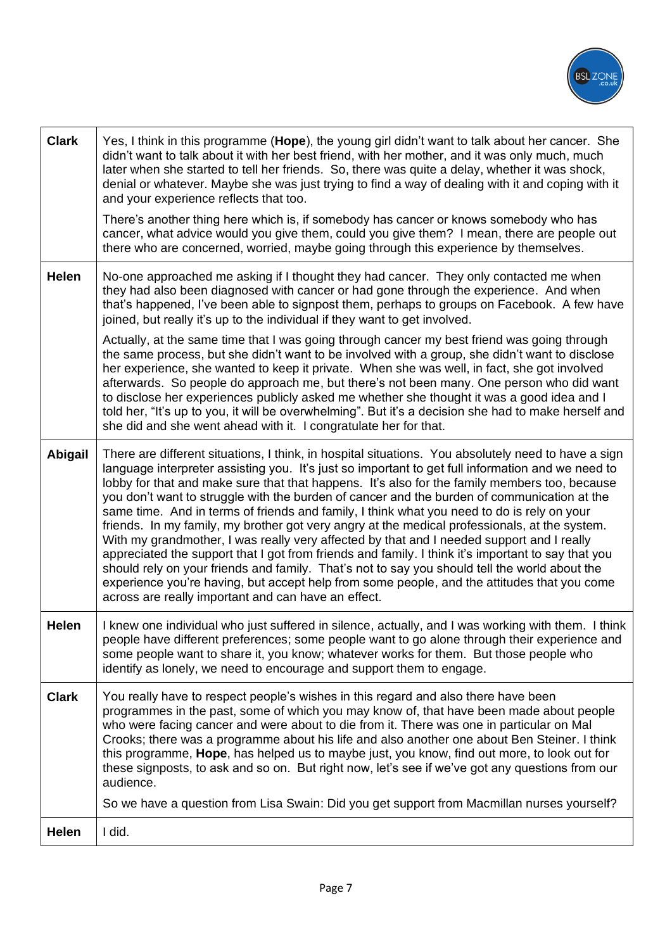

| <b>Clark</b> | Yes, I think in this programme (Hope), the young girl didn't want to talk about her cancer. She<br>didn't want to talk about it with her best friend, with her mother, and it was only much, much<br>later when she started to tell her friends. So, there was quite a delay, whether it was shock,<br>denial or whatever. Maybe she was just trying to find a way of dealing with it and coping with it<br>and your experience reflects that too.<br>There's another thing here which is, if somebody has cancer or knows somebody who has<br>cancer, what advice would you give them, could you give them? I mean, there are people out<br>there who are concerned, worried, maybe going through this experience by themselves.                                                                                                                                                                                                                                                                                                                                 |
|--------------|-------------------------------------------------------------------------------------------------------------------------------------------------------------------------------------------------------------------------------------------------------------------------------------------------------------------------------------------------------------------------------------------------------------------------------------------------------------------------------------------------------------------------------------------------------------------------------------------------------------------------------------------------------------------------------------------------------------------------------------------------------------------------------------------------------------------------------------------------------------------------------------------------------------------------------------------------------------------------------------------------------------------------------------------------------------------|
| <b>Helen</b> | No-one approached me asking if I thought they had cancer. They only contacted me when<br>they had also been diagnosed with cancer or had gone through the experience. And when<br>that's happened, I've been able to signpost them, perhaps to groups on Facebook. A few have<br>joined, but really it's up to the individual if they want to get involved.                                                                                                                                                                                                                                                                                                                                                                                                                                                                                                                                                                                                                                                                                                       |
|              | Actually, at the same time that I was going through cancer my best friend was going through<br>the same process, but she didn't want to be involved with a group, she didn't want to disclose<br>her experience, she wanted to keep it private. When she was well, in fact, she got involved<br>afterwards. So people do approach me, but there's not been many. One person who did want<br>to disclose her experiences publicly asked me whether she thought it was a good idea and I<br>told her, "It's up to you, it will be overwhelming". But it's a decision she had to make herself and<br>she did and she went ahead with it. I congratulate her for that.                                                                                                                                                                                                                                                                                                                                                                                                |
| Abigail      | There are different situations, I think, in hospital situations. You absolutely need to have a sign<br>language interpreter assisting you. It's just so important to get full information and we need to<br>lobby for that and make sure that that happens. It's also for the family members too, because<br>you don't want to struggle with the burden of cancer and the burden of communication at the<br>same time. And in terms of friends and family, I think what you need to do is rely on your<br>friends. In my family, my brother got very angry at the medical professionals, at the system.<br>With my grandmother, I was really very affected by that and I needed support and I really<br>appreciated the support that I got from friends and family. I think it's important to say that you<br>should rely on your friends and family. That's not to say you should tell the world about the<br>experience you're having, but accept help from some people, and the attitudes that you come<br>across are really important and can have an effect. |
| Helen        | I knew one individual who just suffered in silence, actually, and I was working with them. I think<br>people have different preferences; some people want to go alone through their experience and<br>some people want to share it, you know; whatever works for them. But those people who<br>identify as lonely, we need to encourage and support them to engage.                                                                                                                                                                                                                                                                                                                                                                                                                                                                                                                                                                                                                                                                                               |
| <b>Clark</b> | You really have to respect people's wishes in this regard and also there have been<br>programmes in the past, some of which you may know of, that have been made about people<br>who were facing cancer and were about to die from it. There was one in particular on Mal<br>Crooks; there was a programme about his life and also another one about Ben Steiner. I think<br>this programme, Hope, has helped us to maybe just, you know, find out more, to look out for<br>these signposts, to ask and so on. But right now, let's see if we've got any questions from our<br>audience.                                                                                                                                                                                                                                                                                                                                                                                                                                                                          |
|              | So we have a question from Lisa Swain: Did you get support from Macmillan nurses yourself?                                                                                                                                                                                                                                                                                                                                                                                                                                                                                                                                                                                                                                                                                                                                                                                                                                                                                                                                                                        |
| Helen        | I did.                                                                                                                                                                                                                                                                                                                                                                                                                                                                                                                                                                                                                                                                                                                                                                                                                                                                                                                                                                                                                                                            |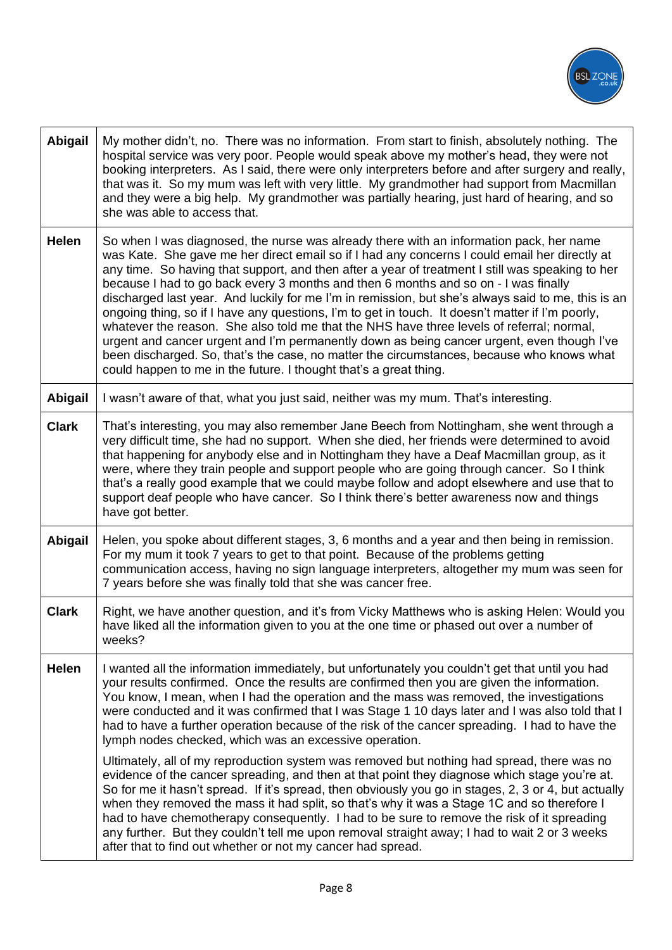

| Abigail        | My mother didn't, no. There was no information. From start to finish, absolutely nothing. The<br>hospital service was very poor. People would speak above my mother's head, they were not<br>booking interpreters. As I said, there were only interpreters before and after surgery and really,<br>that was it. So my mum was left with very little. My grandmother had support from Macmillan<br>and they were a big help. My grandmother was partially hearing, just hard of hearing, and so<br>she was able to access that.                                                                                                                                                                                                                                                                                                                                                                                                                             |
|----------------|------------------------------------------------------------------------------------------------------------------------------------------------------------------------------------------------------------------------------------------------------------------------------------------------------------------------------------------------------------------------------------------------------------------------------------------------------------------------------------------------------------------------------------------------------------------------------------------------------------------------------------------------------------------------------------------------------------------------------------------------------------------------------------------------------------------------------------------------------------------------------------------------------------------------------------------------------------|
| Helen          | So when I was diagnosed, the nurse was already there with an information pack, her name<br>was Kate. She gave me her direct email so if I had any concerns I could email her directly at<br>any time. So having that support, and then after a year of treatment I still was speaking to her<br>because I had to go back every 3 months and then 6 months and so on - I was finally<br>discharged last year. And luckily for me I'm in remission, but she's always said to me, this is an<br>ongoing thing, so if I have any questions, I'm to get in touch. It doesn't matter if I'm poorly,<br>whatever the reason. She also told me that the NHS have three levels of referral; normal,<br>urgent and cancer urgent and I'm permanently down as being cancer urgent, even though I've<br>been discharged. So, that's the case, no matter the circumstances, because who knows what<br>could happen to me in the future. I thought that's a great thing. |
| <b>Abigail</b> | I wasn't aware of that, what you just said, neither was my mum. That's interesting.                                                                                                                                                                                                                                                                                                                                                                                                                                                                                                                                                                                                                                                                                                                                                                                                                                                                        |
| <b>Clark</b>   | That's interesting, you may also remember Jane Beech from Nottingham, she went through a<br>very difficult time, she had no support. When she died, her friends were determined to avoid<br>that happening for anybody else and in Nottingham they have a Deaf Macmillan group, as it<br>were, where they train people and support people who are going through cancer. So I think<br>that's a really good example that we could maybe follow and adopt elsewhere and use that to<br>support deaf people who have cancer. So I think there's better awareness now and things<br>have got better.                                                                                                                                                                                                                                                                                                                                                           |
| Abigail        | Helen, you spoke about different stages, 3, 6 months and a year and then being in remission.<br>For my mum it took 7 years to get to that point. Because of the problems getting<br>communication access, having no sign language interpreters, altogether my mum was seen for<br>7 years before she was finally told that she was cancer free.                                                                                                                                                                                                                                                                                                                                                                                                                                                                                                                                                                                                            |
| <b>Clark</b>   | Right, we have another question, and it's from Vicky Matthews who is asking Helen: Would you<br>have liked all the information given to you at the one time or phased out over a number of<br>weeks?                                                                                                                                                                                                                                                                                                                                                                                                                                                                                                                                                                                                                                                                                                                                                       |
| Helen          | I wanted all the information immediately, but unfortunately you couldn't get that until you had<br>your results confirmed. Once the results are confirmed then you are given the information.<br>You know, I mean, when I had the operation and the mass was removed, the investigations<br>were conducted and it was confirmed that I was Stage 1 10 days later and I was also told that I<br>had to have a further operation because of the risk of the cancer spreading. I had to have the<br>lymph nodes checked, which was an excessive operation.                                                                                                                                                                                                                                                                                                                                                                                                    |
|                | Ultimately, all of my reproduction system was removed but nothing had spread, there was no<br>evidence of the cancer spreading, and then at that point they diagnose which stage you're at.<br>So for me it hasn't spread. If it's spread, then obviously you go in stages, 2, 3 or 4, but actually<br>when they removed the mass it had split, so that's why it was a Stage 1C and so therefore I<br>had to have chemotherapy consequently. I had to be sure to remove the risk of it spreading<br>any further. But they couldn't tell me upon removal straight away; I had to wait 2 or 3 weeks<br>after that to find out whether or not my cancer had spread.                                                                                                                                                                                                                                                                                           |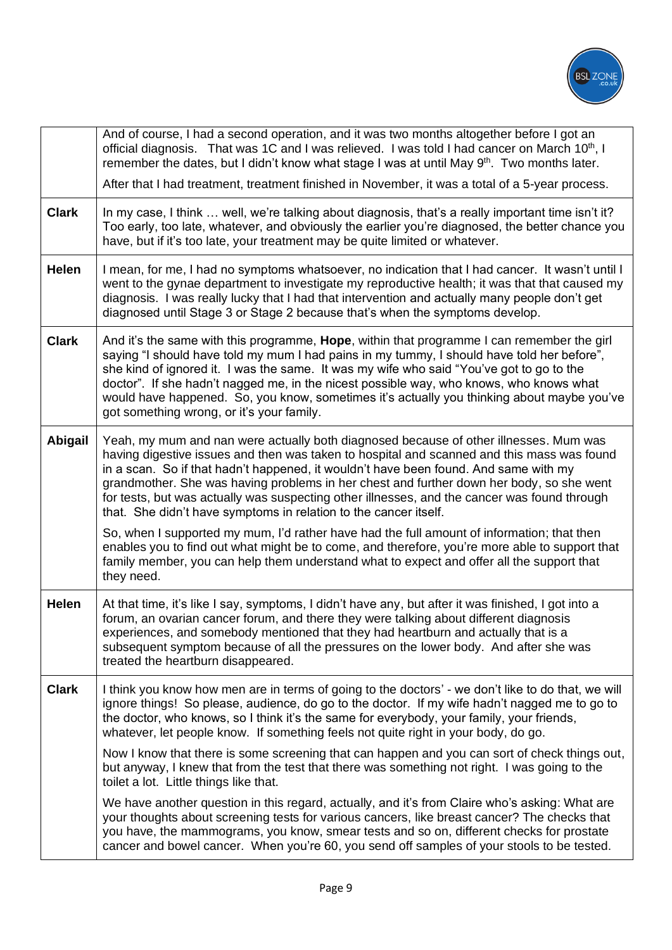

|              | And of course, I had a second operation, and it was two months altogether before I got an<br>official diagnosis. That was 1C and I was relieved. I was told I had cancer on March 10 <sup>th</sup> , I<br>remember the dates, but I didn't know what stage I was at until May 9 <sup>th</sup> . Two months later.<br>After that I had treatment, treatment finished in November, it was a total of a 5-year process.                                                                                                                        |
|--------------|---------------------------------------------------------------------------------------------------------------------------------------------------------------------------------------------------------------------------------------------------------------------------------------------------------------------------------------------------------------------------------------------------------------------------------------------------------------------------------------------------------------------------------------------|
| <b>Clark</b> | In my case, I think  well, we're talking about diagnosis, that's a really important time isn't it?<br>Too early, too late, whatever, and obviously the earlier you're diagnosed, the better chance you<br>have, but if it's too late, your treatment may be quite limited or whatever.                                                                                                                                                                                                                                                      |
| <b>Helen</b> | I mean, for me, I had no symptoms whatsoever, no indication that I had cancer. It wasn't until I<br>went to the gynae department to investigate my reproductive health; it was that that caused my<br>diagnosis. I was really lucky that I had that intervention and actually many people don't get<br>diagnosed until Stage 3 or Stage 2 because that's when the symptoms develop.                                                                                                                                                         |
| <b>Clark</b> | And it's the same with this programme, <b>Hope</b> , within that programme I can remember the girl<br>saying "I should have told my mum I had pains in my tummy, I should have told her before",<br>she kind of ignored it. I was the same. It was my wife who said "You've got to go to the<br>doctor". If she hadn't nagged me, in the nicest possible way, who knows, who knows what<br>would have happened. So, you know, sometimes it's actually you thinking about maybe you've<br>got something wrong, or it's your family.          |
| Abigail      | Yeah, my mum and nan were actually both diagnosed because of other illnesses. Mum was<br>having digestive issues and then was taken to hospital and scanned and this mass was found<br>in a scan. So if that hadn't happened, it wouldn't have been found. And same with my<br>grandmother. She was having problems in her chest and further down her body, so she went<br>for tests, but was actually was suspecting other illnesses, and the cancer was found through<br>that. She didn't have symptoms in relation to the cancer itself. |
|              | So, when I supported my mum, I'd rather have had the full amount of information; that then<br>enables you to find out what might be to come, and therefore, you're more able to support that<br>family member, you can help them understand what to expect and offer all the support that<br>they need.                                                                                                                                                                                                                                     |
| Helen        | At that time, it's like I say, symptoms, I didn't have any, but after it was finished, I got into a<br>forum, an ovarian cancer forum, and there they were talking about different diagnosis<br>experiences, and somebody mentioned that they had heartburn and actually that is a<br>subsequent symptom because of all the pressures on the lower body. And after she was<br>treated the heartburn disappeared.                                                                                                                            |
| <b>Clark</b> | I think you know how men are in terms of going to the doctors' - we don't like to do that, we will<br>ignore things! So please, audience, do go to the doctor. If my wife hadn't nagged me to go to<br>the doctor, who knows, so I think it's the same for everybody, your family, your friends,<br>whatever, let people know. If something feels not quite right in your body, do go.                                                                                                                                                      |
|              | Now I know that there is some screening that can happen and you can sort of check things out,<br>but anyway, I knew that from the test that there was something not right. I was going to the<br>toilet a lot. Little things like that.                                                                                                                                                                                                                                                                                                     |
|              | We have another question in this regard, actually, and it's from Claire who's asking: What are<br>your thoughts about screening tests for various cancers, like breast cancer? The checks that<br>you have, the mammograms, you know, smear tests and so on, different checks for prostate<br>cancer and bowel cancer. When you're 60, you send off samples of your stools to be tested.                                                                                                                                                    |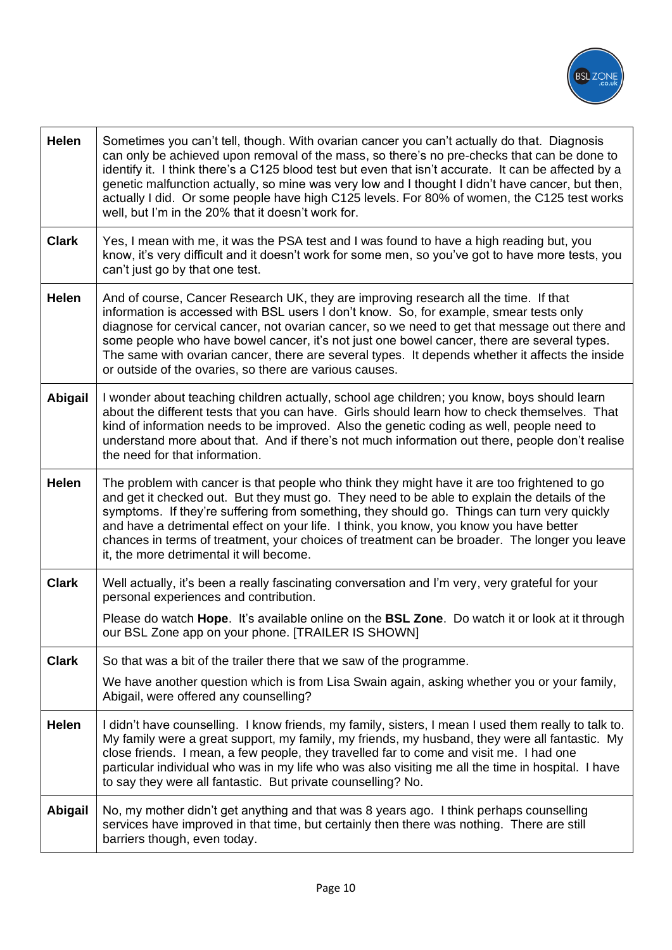

| <b>Helen</b>   | Sometimes you can't tell, though. With ovarian cancer you can't actually do that. Diagnosis<br>can only be achieved upon removal of the mass, so there's no pre-checks that can be done to<br>identify it. I think there's a C125 blood test but even that isn't accurate. It can be affected by a<br>genetic malfunction actually, so mine was very low and I thought I didn't have cancer, but then,<br>actually I did. Or some people have high C125 levels. For 80% of women, the C125 test works<br>well, but I'm in the 20% that it doesn't work for. |
|----------------|-------------------------------------------------------------------------------------------------------------------------------------------------------------------------------------------------------------------------------------------------------------------------------------------------------------------------------------------------------------------------------------------------------------------------------------------------------------------------------------------------------------------------------------------------------------|
| <b>Clark</b>   | Yes, I mean with me, it was the PSA test and I was found to have a high reading but, you<br>know, it's very difficult and it doesn't work for some men, so you've got to have more tests, you<br>can't just go by that one test.                                                                                                                                                                                                                                                                                                                            |
| <b>Helen</b>   | And of course, Cancer Research UK, they are improving research all the time. If that<br>information is accessed with BSL users I don't know. So, for example, smear tests only<br>diagnose for cervical cancer, not ovarian cancer, so we need to get that message out there and<br>some people who have bowel cancer, it's not just one bowel cancer, there are several types.<br>The same with ovarian cancer, there are several types. It depends whether it affects the inside<br>or outside of the ovaries, so there are various causes.               |
| <b>Abigail</b> | I wonder about teaching children actually, school age children; you know, boys should learn<br>about the different tests that you can have. Girls should learn how to check themselves. That<br>kind of information needs to be improved. Also the genetic coding as well, people need to<br>understand more about that. And if there's not much information out there, people don't realise<br>the need for that information.                                                                                                                              |
| Helen          | The problem with cancer is that people who think they might have it are too frightened to go<br>and get it checked out. But they must go. They need to be able to explain the details of the<br>symptoms. If they're suffering from something, they should go. Things can turn very quickly<br>and have a detrimental effect on your life. I think, you know, you know you have better<br>chances in terms of treatment, your choices of treatment can be broader. The longer you leave<br>it, the more detrimental it will become.                         |
| <b>Clark</b>   | Well actually, it's been a really fascinating conversation and I'm very, very grateful for your<br>personal experiences and contribution.<br>Please do watch Hope. It's available online on the BSL Zone. Do watch it or look at it through<br>our BSL Zone app on your phone. [TRAILER IS SHOWN]                                                                                                                                                                                                                                                           |
| <b>Clark</b>   | So that was a bit of the trailer there that we saw of the programme.<br>We have another question which is from Lisa Swain again, asking whether you or your family,<br>Abigail, were offered any counselling?                                                                                                                                                                                                                                                                                                                                               |
| <b>Helen</b>   | I didn't have counselling. I know friends, my family, sisters, I mean I used them really to talk to.<br>My family were a great support, my family, my friends, my husband, they were all fantastic. My<br>close friends. I mean, a few people, they travelled far to come and visit me. I had one<br>particular individual who was in my life who was also visiting me all the time in hospital. I have<br>to say they were all fantastic. But private counselling? No.                                                                                     |
| Abigail        | No, my mother didn't get anything and that was 8 years ago. I think perhaps counselling<br>services have improved in that time, but certainly then there was nothing. There are still<br>barriers though, even today.                                                                                                                                                                                                                                                                                                                                       |